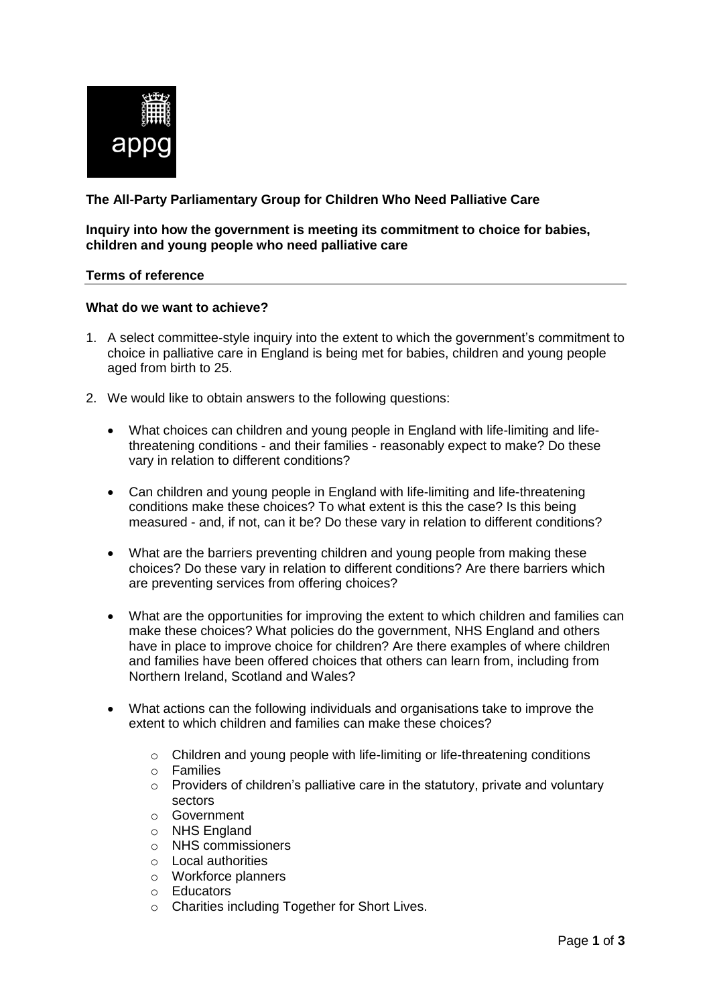

# **The All-Party Parliamentary Group for Children Who Need Palliative Care**

## **Inquiry into how the government is meeting its commitment to choice for babies, children and young people who need palliative care**

## **Terms of reference**

## **What do we want to achieve?**

- 1. A select committee-style inquiry into the extent to which the government's commitment to choice in palliative care in England is being met for babies, children and young people aged from birth to 25.
- 2. We would like to obtain answers to the following questions:
	- What choices can children and young people in England with life-limiting and lifethreatening conditions - and their families - reasonably expect to make? Do these vary in relation to different conditions?
	- Can children and young people in England with life-limiting and life-threatening conditions make these choices? To what extent is this the case? Is this being measured - and, if not, can it be? Do these vary in relation to different conditions?
	- What are the barriers preventing children and young people from making these choices? Do these vary in relation to different conditions? Are there barriers which are preventing services from offering choices?
	- What are the opportunities for improving the extent to which children and families can make these choices? What policies do the government, NHS England and others have in place to improve choice for children? Are there examples of where children and families have been offered choices that others can learn from, including from Northern Ireland, Scotland and Wales?
	- What actions can the following individuals and organisations take to improve the extent to which children and families can make these choices?
		- o Children and young people with life-limiting or life-threatening conditions
		- o Families
		- o Providers of children's palliative care in the statutory, private and voluntary sectors
		- o Government
		- o NHS England
		- o NHS commissioners
		- o Local authorities
		- o Workforce planners
		- o Educators
		- o Charities including Together for Short Lives.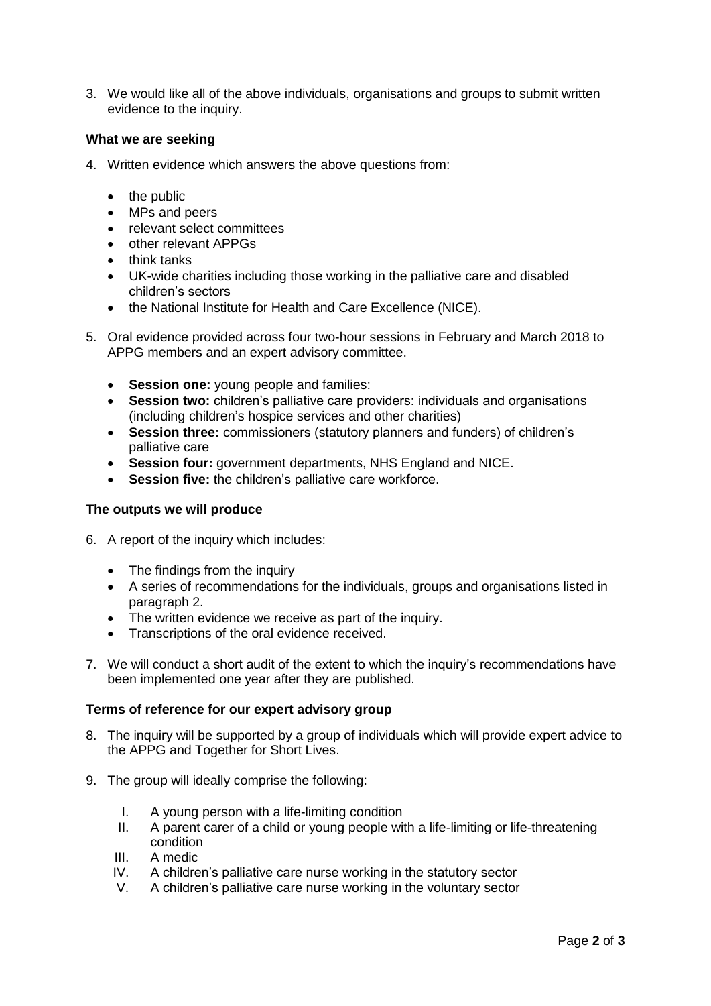3. We would like all of the above individuals, organisations and groups to submit written evidence to the inquiry.

## **What we are seeking**

- 4. Written evidence which answers the above questions from:
	- the public
	- MPs and peers
	- relevant select committees
	- other relevant APPGs
	- think tanks
	- UK-wide charities including those working in the palliative care and disabled children's sectors
	- the National Institute for Health and Care Excellence (NICE).
- 5. Oral evidence provided across four two-hour sessions in February and March 2018 to APPG members and an expert advisory committee.
	- **Session one:** young people and families:
	- **Session two:** children's palliative care providers: individuals and organisations (including children's hospice services and other charities)
	- **Session three:** commissioners (statutory planners and funders) of children's palliative care
	- **Session four:** government departments, NHS England and NICE.
	- **Session five:** the children's palliative care workforce.

#### **The outputs we will produce**

- 6. A report of the inquiry which includes:
	- The findings from the inquiry
	- A series of recommendations for the individuals, groups and organisations listed in paragraph 2.
	- The written evidence we receive as part of the inquiry.
	- Transcriptions of the oral evidence received.
- 7. We will conduct a short audit of the extent to which the inquiry's recommendations have been implemented one year after they are published.

#### **Terms of reference for our expert advisory group**

- 8. The inquiry will be supported by a group of individuals which will provide expert advice to the APPG and Together for Short Lives.
- 9. The group will ideally comprise the following:
	- I. A young person with a life-limiting condition
	- II. A parent carer of a child or young people with a life-limiting or life-threatening condition
	- III. A medic
	- IV. A children's palliative care nurse working in the statutory sector
	- V. A children's palliative care nurse working in the voluntary sector